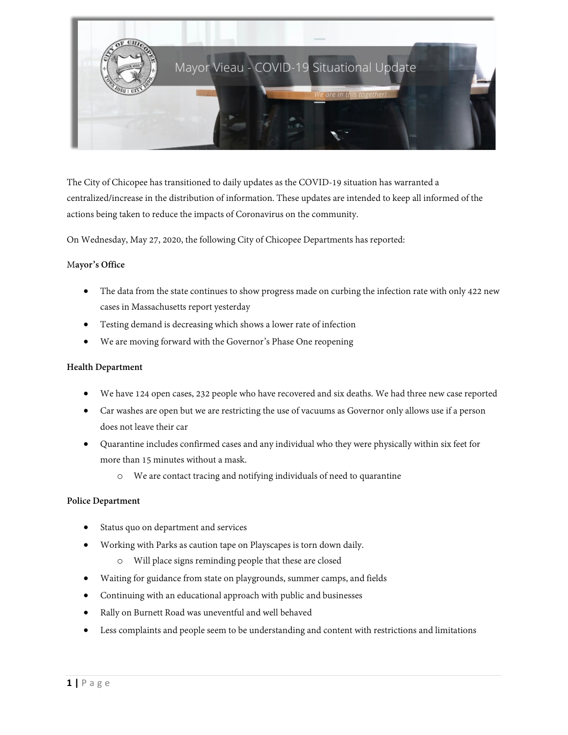

The City of Chicopee has transitioned to daily updates as the COVID-19 situation has warranted a centralized/increase in the distribution of information. These updates are intended to keep all informed of the actions being taken to reduce the impacts of Coronavirus on the community.

On Wednesday, May 27, 2020, the following City of Chicopee Departments has reported:

# M**ayor's Office**

- The data from the state continues to show progress made on curbing the infection rate with only 422 new cases in Massachusetts report yesterday
- Testing demand is decreasing which shows a lower rate of infection
- We are moving forward with the Governor's Phase One reopening

# **Health Department**

- We have 124 open cases, 232 people who have recovered and six deaths. We had three new case reported
- Car washes are open but we are restricting the use of vacuums as Governor only allows use if a person does not leave their car
- Quarantine includes confirmed cases and any individual who they were physically within six feet for more than 15 minutes without a mask.
	- o We are contact tracing and notifying individuals of need to quarantine

## **Police Department**

- Status quo on department and services
- Working with Parks as caution tape on Playscapes is torn down daily.
	- o Will place signs reminding people that these are closed
- Waiting for guidance from state on playgrounds, summer camps, and fields
- Continuing with an educational approach with public and businesses
- Rally on Burnett Road was uneventful and well behaved
- Less complaints and people seem to be understanding and content with restrictions and limitations